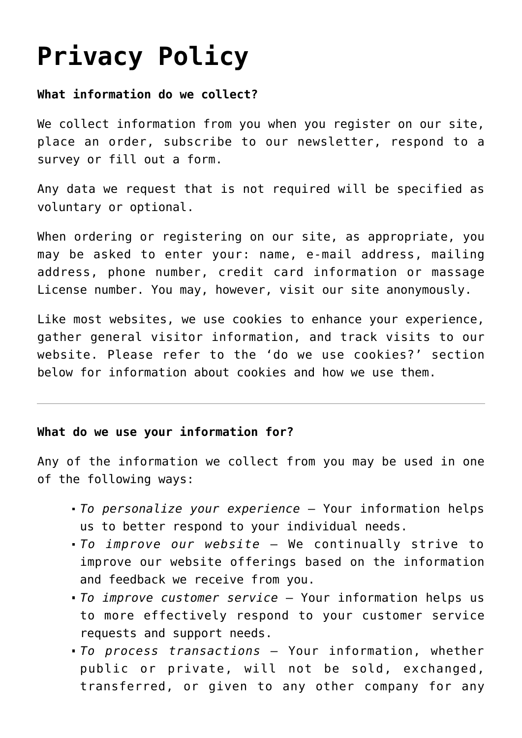# **[Privacy Policy](https://cnainservicehours.com/privacy-policy/)**

## **What information do we collect?**

We collect information from you when you register on our site, place an order, subscribe to our newsletter, respond to a survey or fill out a form.

Any data we request that is not required will be specified as voluntary or optional.

When ordering or registering on our site, as appropriate, you may be asked to enter your: name, e-mail address, mailing address, phone number, credit card information or massage License number. You may, however, visit our site anonymously.

Like most websites, we use cookies to enhance your experience, gather general visitor information, and track visits to our website. Please refer to the 'do we use cookies?' section helow for information about cookies and how we use them.

### **What do we use your information for?**

Any of the information we collect from you may be used in one of the following ways:

- *To personalize your experience* Your information helps us to better respond to your individual needs.
- *To improve our website* We continually strive to improve our website offerings based on the information and feedback we receive from you.
- *To improve customer service* Your information helps us to more effectively respond to your customer service requests and support needs.
- *To process transactions* Your information, whether public or private, will not be sold, exchanged, transferred, or given to any other company for any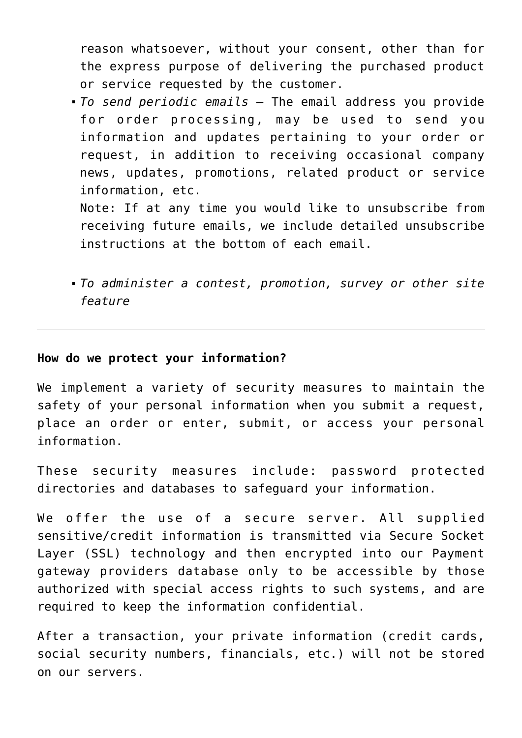reason whatsoever, without your consent, other than for the express purpose of delivering the purchased product or service requested by the customer.

*To send periodic emails —* The email address you provide for order processing, may be used to send you information and updates pertaining to your order or request, in addition to receiving occasional company news, updates, promotions, related product or service information, etc.

Note: If at any time you would like to unsubscribe from receiving future emails, we include detailed unsubscribe instructions at the bottom of each email.

*To administer a contest, promotion, survey or other site feature*

#### **How do we protect your information?**

We implement a variety of security measures to maintain the safety of your personal information when you submit a request, place an order or enter, submit, or access your personal information.

These security measures include: password protected directories and databases to safeguard your information.

We offer the use of a secure server. All supplied sensitive/credit information is transmitted via Secure Socket Layer (SSL) technology and then encrypted into our Payment gateway providers database only to be accessible by those authorized with special access rights to such systems, and are required to keep the information confidential.

After a transaction, your private information (credit cards, social security numbers, financials, etc.) will not be stored on our servers.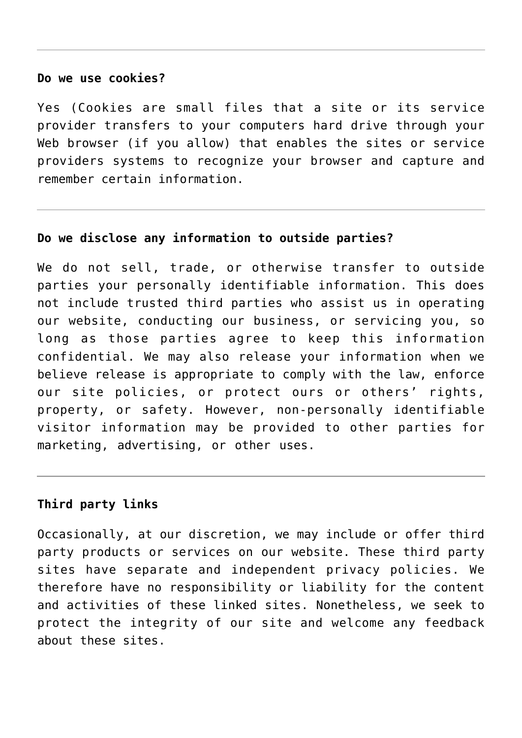#### **Do we use cookies?**

Yes (Cookies are small files that a site or its service provider transfers to your computers hard drive through your Web browser (if you allow) that enables the sites or service providers systems to recognize your browser and capture and remember certain information.

#### **Do we disclose any information to outside parties?**

We do not sell, trade, or otherwise transfer to outside parties your personally identifiable information. This does not include trusted third parties who assist us in operating our website, conducting our business, or servicing you, so long as those parties agree to keep this information confidential. We may also release your information when we believe release is appropriate to comply with the law, enforce our site policies, or protect ours or others' rights, property, or safety. However, non-personally identifiable visitor information may be provided to other parties for marketing, advertising, or other uses.

## **Third party links**

Occasionally, at our discretion, we may include or offer third party products or services on our website. These third party sites have separate and independent privacy policies. We therefore have no responsibility or liability for the content and activities of these linked sites. Nonetheless, we seek to protect the integrity of our site and welcome any feedback about these sites.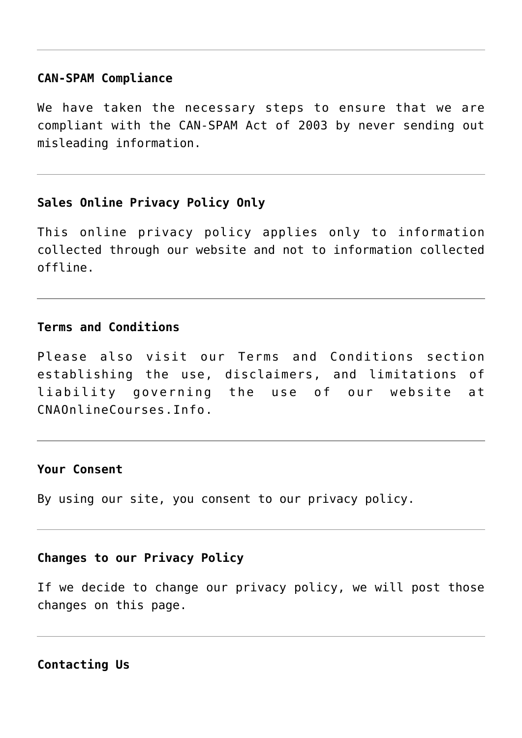#### **CAN-SPAM Compliance**

We have taken the necessary steps to ensure that we are compliant with the CAN-SPAM Act of 2003 by never sending out misleading information.

## **Sales Online Privacy Policy Only**

This online privacy policy applies only to information collected through our website and not to information collected offline.

### **Terms and Conditions**

Please also visit our Terms and Conditions section establishing the use, disclaimers, and limitations of liability governing the use of our website at CNAOnlineCourses.Info.

#### **Your Consent**

By using our site, you consent to our privacy policy.

#### **Changes to our Privacy Policy**

If we decide to change our privacy policy, we will post those changes on this page.

**Contacting Us**